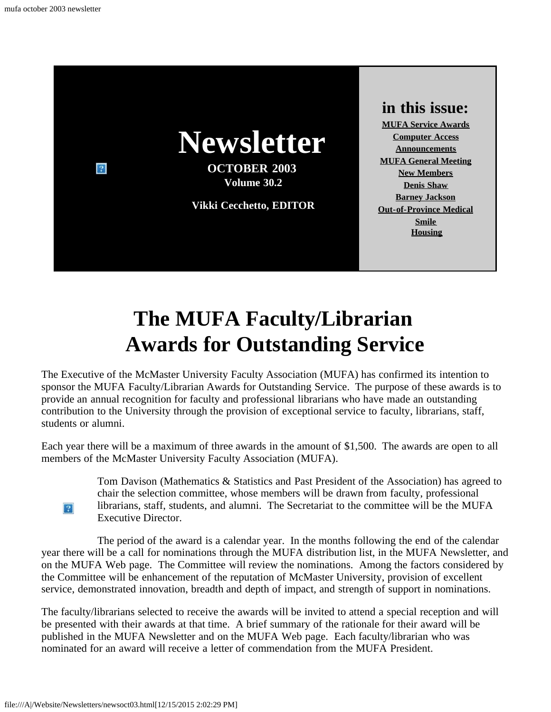

## **The MUFA Faculty/Librarian Awards for Outstanding Service**

<span id="page-0-0"></span>The Executive of the McMaster University Faculty Association (MUFA) has confirmed its intention to sponsor the MUFA Faculty/Librarian Awards for Outstanding Service. The purpose of these awards is to provide an annual recognition for faculty and professional librarians who have made an outstanding contribution to the University through the provision of exceptional service to faculty, librarians, staff, students or alumni.

Each year there will be a maximum of three awards in the amount of \$1,500. The awards are open to all members of the McMaster University Faculty Association (MUFA).

> Tom Davison (Mathematics & Statistics and Past President of the Association) has agreed to chair the selection committee, whose members will be drawn from faculty, professional librarians, staff, students, and alumni. The Secretariat to the committee will be the MUFA Executive Director.

The period of the award is a calendar year. In the months following the end of the calendar year there will be a call for nominations through the MUFA distribution list, in the MUFA Newsletter, and on the MUFA Web page. The Committee will review the nominations. Among the factors considered by the Committee will be enhancement of the reputation of McMaster University, provision of excellent service, demonstrated innovation, breadth and depth of impact, and strength of support in nominations.

The faculty/librarians selected to receive the awards will be invited to attend a special reception and will be presented with their awards at that time. A brief summary of the rationale for their award will be published in the MUFA Newsletter and on the MUFA Web page. Each faculty/librarian who was nominated for an award will receive a letter of commendation from the MUFA President.

 $|2|$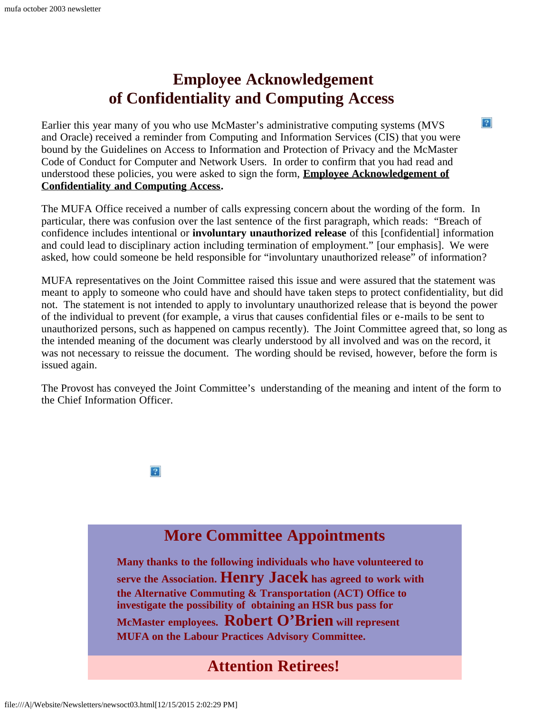## **Employee Acknowledgement of Confidentiality and Computing Access**

<span id="page-1-0"></span>Earlier this year many of you who use McMaster's administrative computing systems (MVS and Oracle) received a reminder from Computing and Information Services (CIS) that you were bound by the Guidelines on Access to Information and Protection of Privacy and the McMaster Code of Conduct for Computer and Network Users. In order to confirm that you had read and understood these policies, you were asked to sign the form, **[Employee Acknowledgement of](http://www.mcmaster.ca/cis/appforms/confidentiality.pdf) [Confidentiality and Computing Access.](http://www.mcmaster.ca/cis/appforms/confidentiality.pdf)**

The MUFA Office received a number of calls expressing concern about the wording of the form. In particular, there was confusion over the last sentence of the first paragraph, which reads: "Breach of confidence includes intentional or **involuntary unauthorized release** of this [confidential] information and could lead to disciplinary action including termination of employment." [our emphasis]. We were asked, how could someone be held responsible for "involuntary unauthorized release" of information?

 $\left|2\right\rangle$ 

MUFA representatives on the Joint Committee raised this issue and were assured that the statement was meant to apply to someone who could have and should have taken steps to protect confidentiality, but did not. The statement is not intended to apply to involuntary unauthorized release that is beyond the power of the individual to prevent (for example, a virus that causes confidential files or e-mails to be sent to unauthorized persons, such as happened on campus recently). The Joint Committee agreed that, so long as the intended meaning of the document was clearly understood by all involved and was on the record, it was not necessary to reissue the document. The wording should be revised, however, before the form is issued again.

The Provost has conveyed the Joint Committee's understanding of the meaning and intent of the form to the Chief Information Officer.



### **More Committee Appointments**

<span id="page-1-1"></span>**Many thanks to the following individuals who have volunteered to serve the Association. Henry Jacek has agreed to work with the Alternative Commuting & Transportation (ACT) Office to investigate the possibility of obtaining an HSR bus pass for McMaster employees. Robert O'Brien will represent MUFA on the Labour Practices Advisory Committee.**

### **Attention Retirees!**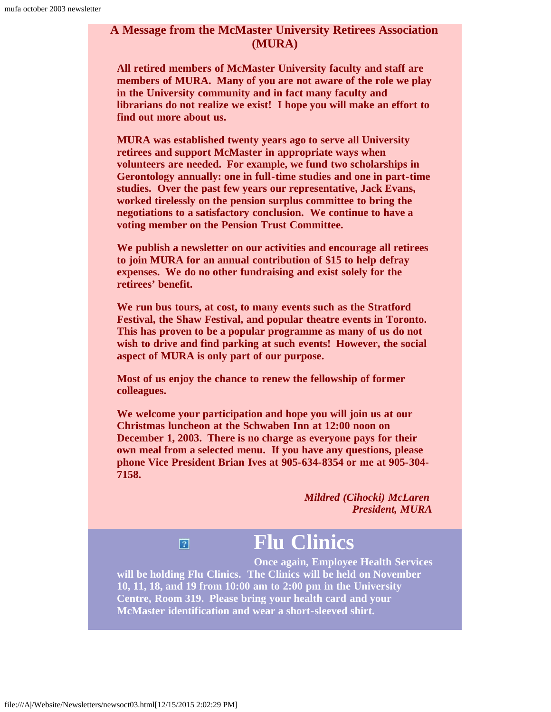### **A Message from the McMaster University Retirees Association (MURA)**

**All retired members of McMaster University faculty and staff are members of MURA. Many of you are not aware of the role we play in the University community and in fact many faculty and librarians do not realize we exist! I hope you will make an effort to find out more about us.**

**MURA was established twenty years ago to serve all University retirees and support McMaster in appropriate ways when volunteers are needed. For example, we fund two scholarships in Gerontology annually: one in full-time studies and one in part-time studies. Over the past few years our representative, Jack Evans, worked tirelessly on the pension surplus committee to bring the negotiations to a satisfactory conclusion. We continue to have a voting member on the Pension Trust Committee.**

**We publish a newsletter on our activities and encourage all retirees to join MURA for an annual contribution of \$15 to help defray expenses. We do no other fundraising and exist solely for the retirees' benefit.**

**We run bus tours, at cost, to many events such as the Stratford Festival, the Shaw Festival, and popular theatre events in Toronto. This has proven to be a popular programme as many of us do not wish to drive and find parking at such events! However, the social aspect of MURA is only part of our purpose.**

**Most of us enjoy the chance to renew the fellowship of former colleagues.**

**We welcome your participation and hope you will join us at our Christmas luncheon at the Schwaben Inn at 12:00 noon on December 1, 2003. There is no charge as everyone pays for their own meal from a selected menu. If you have any questions, please phone Vice President Brian Ives at 905-634-8354 or me at 905-304- 7158.**

> *Mildred (Cihocki) McLaren President, MURA*

### $\overline{?}$

## **Flu Clinics**

<span id="page-2-0"></span>**Once again, Employee Health Services will be holding Flu Clinics. The Clinics will be held on November 10, 11, 18, and 19 from 10:00 am to 2:00 pm in the University Centre, Room 319. Please bring your health card and your McMaster identification and wear a short-sleeved shirt.**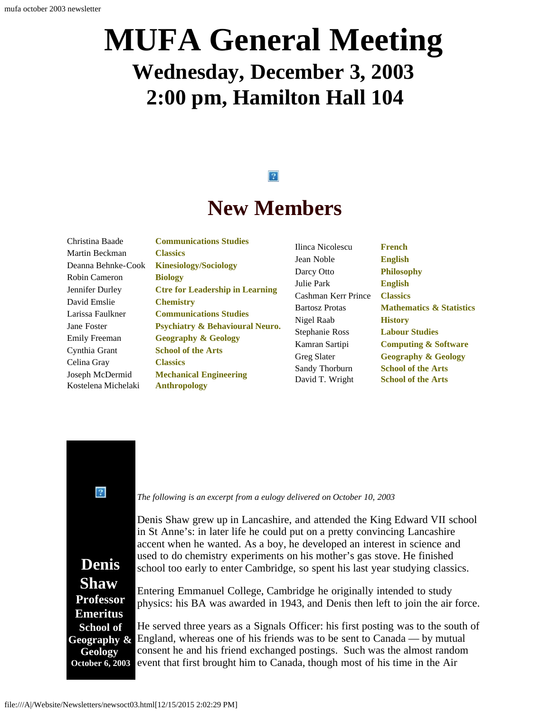## **MUFA General Meeting Wednesday, December 3, 2003 2:00 pm, Hamilton Hall 104**

### $|2|$

## **New Members**

<span id="page-3-0"></span>

**Communications Studies Classics Kinesiology/Sociology Biology Ctre for Leadership in Learning Chemistry Communications Studies Psychiatry & Behavioural Neuro. Geography & Geology School of the Arts Classics Mechanical Engineering Anthropology**

| Ilinca Nicolescu      |
|-----------------------|
| Jean Noble            |
| Darcy Otto            |
| Julie Park            |
| Cashman Kerr Prince   |
| <b>Bartosz Protas</b> |
| Nigel Raab            |
| <b>Stephanie Ross</b> |
| Kamran Sartipi        |
| Greg Slater           |
| Sandy Thorburn        |
| David T. Wright       |

**French English Philosophy English Classics Mathematics & Statistics History Labour Studies Computing & Software Geography & Geology School of the Arts School of the Arts**

<span id="page-3-1"></span> $\sqrt{2}$ 

**Denis Shaw Professor Emeritus School of Geography & Geology October 6, 2003**

*The following is an excerpt from a eulogy delivered on October 10, 2003*

Denis Shaw grew up in Lancashire, and attended the King Edward VII school in St Anne's: in later life he could put on a pretty convincing Lancashire accent when he wanted. As a boy, he developed an interest in science and used to do chemistry experiments on his mother's gas stove. He finished school too early to enter Cambridge, so spent his last year studying classics.

Entering Emmanuel College, Cambridge he originally intended to study physics: his BA was awarded in 1943, and Denis then left to join the air force.

He served three years as a Signals Officer: his first posting was to the south of England, whereas one of his friends was to be sent to Canada — by mutual consent he and his friend exchanged postings. Such was the almost random event that first brought him to Canada, though most of his time in the Air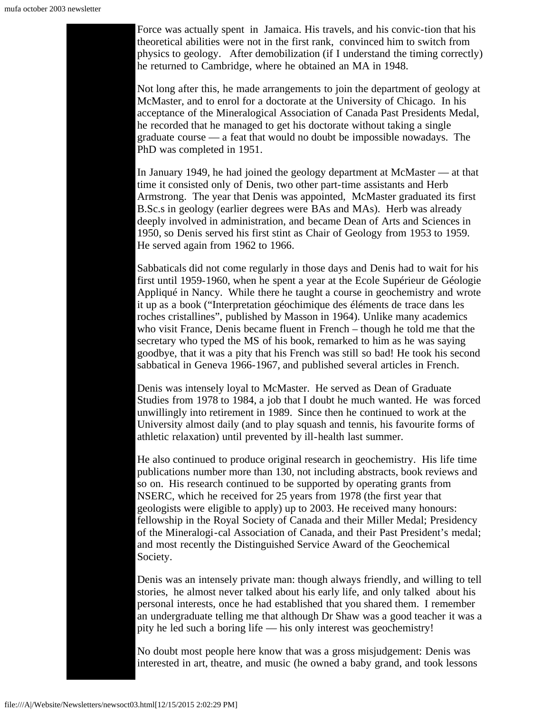Force was actually spent in Jamaica. His travels, and his convic-tion that his theoretical abilities were not in the first rank, convinced him to switch from physics to geology. After demobilization (if I understand the timing correctly) he returned to Cambridge, where he obtained an MA in 1948.

Not long after this, he made arrangements to join the department of geology at McMaster, and to enrol for a doctorate at the University of Chicago. In his acceptance of the Mineralogical Association of Canada Past Presidents Medal, he recorded that he managed to get his doctorate without taking a single graduate course — a feat that would no doubt be impossible nowadays. The PhD was completed in 1951.

In January 1949, he had joined the geology department at McMaster — at that time it consisted only of Denis, two other part-time assistants and Herb Armstrong. The year that Denis was appointed, McMaster graduated its first B.Sc.s in geology (earlier degrees were BAs and MAs). Herb was already deeply involved in administration, and became Dean of Arts and Sciences in 1950, so Denis served his first stint as Chair of Geology from 1953 to 1959. He served again from 1962 to 1966.

Sabbaticals did not come regularly in those days and Denis had to wait for his first until 1959-1960, when he spent a year at the Ecole Supérieur de Géologie Appliqué in Nancy. While there he taught a course in geochemistry and wrote it up as a book ("Interpretation géochimique des éléments de trace dans les roches cristallines", published by Masson in 1964). Unlike many academics who visit France, Denis became fluent in French – though he told me that the secretary who typed the MS of his book, remarked to him as he was saying goodbye, that it was a pity that his French was still so bad! He took his second sabbatical in Geneva 1966-1967, and published several articles in French.

Denis was intensely loyal to McMaster. He served as Dean of Graduate Studies from 1978 to 1984, a job that I doubt he much wanted. He was forced unwillingly into retirement in 1989. Since then he continued to work at the University almost daily (and to play squash and tennis, his favourite forms of athletic relaxation) until prevented by ill-health last summer.

He also continued to produce original research in geochemistry. His life time publications number more than 130, not including abstracts, book reviews and so on. His research continued to be supported by operating grants from NSERC, which he received for 25 years from 1978 (the first year that geologists were eligible to apply) up to 2003. He received many honours: fellowship in the Royal Society of Canada and their Miller Medal; Presidency of the Mineralogi-cal Association of Canada, and their Past President's medal; and most recently the Distinguished Service Award of the Geochemical Society.

Denis was an intensely private man: though always friendly, and willing to tell stories, he almost never talked about his early life, and only talked about his personal interests, once he had established that you shared them. I remember an undergraduate telling me that although Dr Shaw was a good teacher it was a pity he led such a boring life — his only interest was geochemistry!

No doubt most people here know that was a gross misjudgement: Denis was interested in art, theatre, and music (he owned a baby grand, and took lessons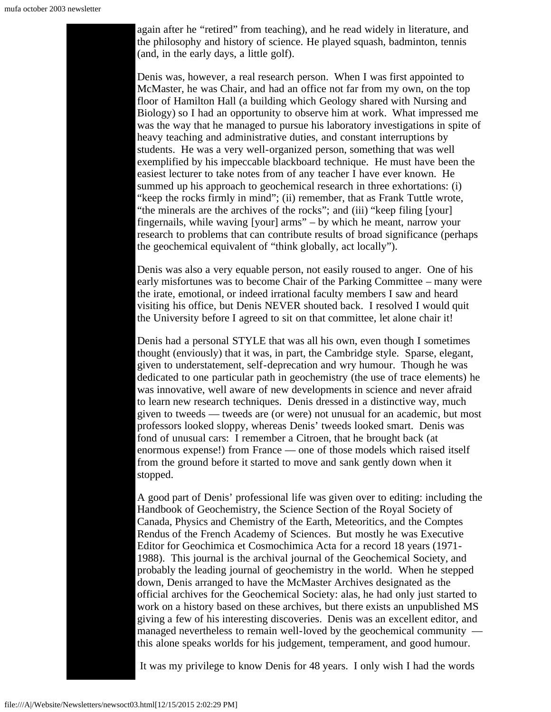again after he "retired" from teaching), and he read widely in literature, and the philosophy and history of science. He played squash, badminton, tennis (and, in the early days, a little golf).

Denis was, however, a real research person. When I was first appointed to McMaster, he was Chair, and had an office not far from my own, on the top floor of Hamilton Hall (a building which Geology shared with Nursing and Biology) so I had an opportunity to observe him at work. What impressed me was the way that he managed to pursue his laboratory investigations in spite of heavy teaching and administrative duties, and constant interruptions by students. He was a very well-organized person, something that was well exemplified by his impeccable blackboard technique. He must have been the easiest lecturer to take notes from of any teacher I have ever known. He summed up his approach to geochemical research in three exhortations: (i) "keep the rocks firmly in mind"; (ii) remember, that as Frank Tuttle wrote, "the minerals are the archives of the rocks"; and (iii) "keep filing [your] fingernails, while waving [your] arms" – by which he meant, narrow your research to problems that can contribute results of broad significance (perhaps the geochemical equivalent of "think globally, act locally").

Denis was also a very equable person, not easily roused to anger. One of his early misfortunes was to become Chair of the Parking Committee – many were the irate, emotional, or indeed irrational faculty members I saw and heard visiting his office, but Denis NEVER shouted back. I resolved I would quit the University before I agreed to sit on that committee, let alone chair it!

Denis had a personal STYLE that was all his own, even though I sometimes thought (enviously) that it was, in part, the Cambridge style. Sparse, elegant, given to understatement, self-deprecation and wry humour. Though he was dedicated to one particular path in geochemistry (the use of trace elements) he was innovative, well aware of new developments in science and never afraid to learn new research techniques. Denis dressed in a distinctive way, much given to tweeds — tweeds are (or were) not unusual for an academic, but most professors looked sloppy, whereas Denis' tweeds looked smart. Denis was fond of unusual cars: I remember a Citroen, that he brought back (at enormous expense!) from France — one of those models which raised itself from the ground before it started to move and sank gently down when it stopped.

A good part of Denis' professional life was given over to editing: including the Handbook of Geochemistry, the Science Section of the Royal Society of Canada, Physics and Chemistry of the Earth, Meteoritics, and the Comptes Rendus of the French Academy of Sciences. But mostly he was Executive Editor for Geochimica et Cosmochimica Acta for a record 18 years (1971- 1988). This journal is the archival journal of the Geochemical Society, and probably the leading journal of geochemistry in the world. When he stepped down, Denis arranged to have the McMaster Archives designated as the official archives for the Geochemical Society: alas, he had only just started to work on a history based on these archives, but there exists an unpublished MS giving a few of his interesting discoveries. Denis was an excellent editor, and managed nevertheless to remain well-loved by the geochemical community this alone speaks worlds for his judgement, temperament, and good humour.

It was my privilege to know Denis for 48 years. I only wish I had the words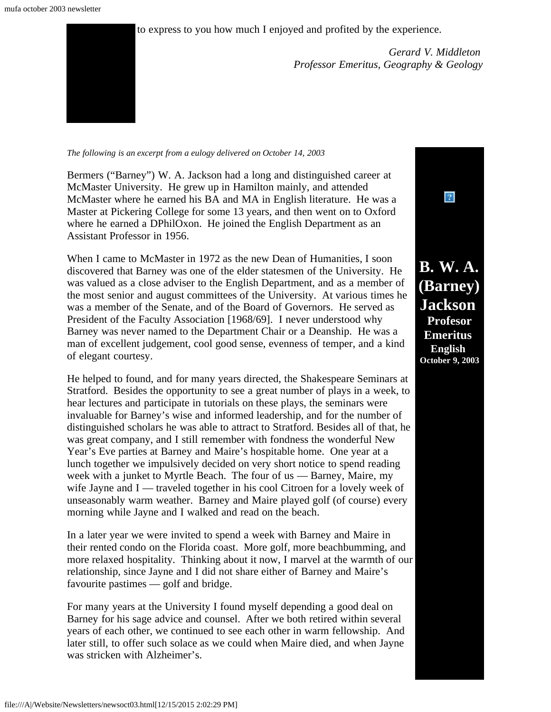to express to you how much I enjoyed and profited by the experience.

*Gerard V. Middleton Professor Emeritus, Geography & Geology*

#### <span id="page-6-0"></span>*The following is an excerpt from a eulogy delivered on October 14, 2003*

Bermers ("Barney") W. A. Jackson had a long and distinguished career at McMaster University. He grew up in Hamilton mainly, and attended McMaster where he earned his BA and MA in English literature. He was a Master at Pickering College for some 13 years, and then went on to Oxford where he earned a DPhilOxon. He joined the English Department as an Assistant Professor in 1956.

When I came to McMaster in 1972 as the new Dean of Humanities, I soon discovered that Barney was one of the elder statesmen of the University. He was valued as a close adviser to the English Department, and as a member of the most senior and august committees of the University. At various times he was a member of the Senate, and of the Board of Governors. He served as President of the Faculty Association [1968/69]. I never understood why Barney was never named to the Department Chair or a Deanship. He was a man of excellent judgement, cool good sense, evenness of temper, and a kind of elegant courtesy.

He helped to found, and for many years directed, the Shakespeare Seminars at Stratford. Besides the opportunity to see a great number of plays in a week, to hear lectures and participate in tutorials on these plays, the seminars were invaluable for Barney's wise and informed leadership, and for the number of distinguished scholars he was able to attract to Stratford. Besides all of that, he was great company, and I still remember with fondness the wonderful New Year's Eve parties at Barney and Maire's hospitable home. One year at a lunch together we impulsively decided on very short notice to spend reading week with a junket to Myrtle Beach. The four of us — Barney, Maire, my wife Jayne and I — traveled together in his cool Citroen for a lovely week of unseasonably warm weather. Barney and Maire played golf (of course) every morning while Jayne and I walked and read on the beach.

In a later year we were invited to spend a week with Barney and Maire in their rented condo on the Florida coast. More golf, more beachbumming, and more relaxed hospitality. Thinking about it now, I marvel at the warmth of our relationship, since Jayne and I did not share either of Barney and Maire's favourite pastimes — golf and bridge.

For many years at the University I found myself depending a good deal on Barney for his sage advice and counsel. After we both retired within several years of each other, we continued to see each other in warm fellowship. And later still, to offer such solace as we could when Maire died, and when Jayne was stricken with Alzheimer's.

**B. W. A. (Barney) Jackson Profesor Emeritus English October 9, 2003**

 $|2|$ 

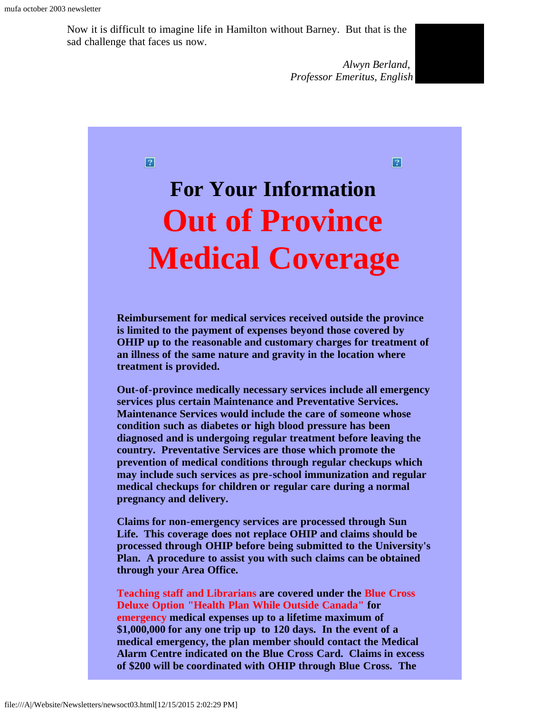Now it is difficult to imagine life in Hamilton without Barney. But that is the sad challenge that faces us now.

> *Alwyn Berland, Professor Emeritus, English*

 $\boldsymbol{P}$ 

#### $\boxed{2}$

# <span id="page-7-0"></span>**For Your Information Out of Province Medical Coverage**

**Reimbursement for medical services received outside the province is limited to the payment of expenses beyond those covered by OHIP up to the reasonable and customary charges for treatment of an illness of the same nature and gravity in the location where treatment is provided.**

**Out-of-province medically necessary services include all emergency services plus certain Maintenance and Preventative Services. Maintenance Services would include the care of someone whose condition such as diabetes or high blood pressure has been diagnosed and is undergoing regular treatment before leaving the country. Preventative Services are those which promote the prevention of medical conditions through regular checkups which may include such services as pre-school immunization and regular medical checkups for children or regular care during a normal pregnancy and delivery.**

**Claims for non-emergency services are processed through Sun Life. This coverage does not replace OHIP and claims should be processed through OHIP before being submitted to the University's Plan. A procedure to assist you with such claims can be obtained through your Area Office.**

**Teaching staff and Librarians are covered under the Blue Cross Deluxe Option "Health Plan While Outside Canada" for emergency medical expenses up to a lifetime maximum of \$1,000,000 for any one trip up to 120 days. In the event of a medical emergency, the plan member should contact the Medical Alarm Centre indicated on the Blue Cross Card. Claims in excess of \$200 will be coordinated with OHIP through Blue Cross. The**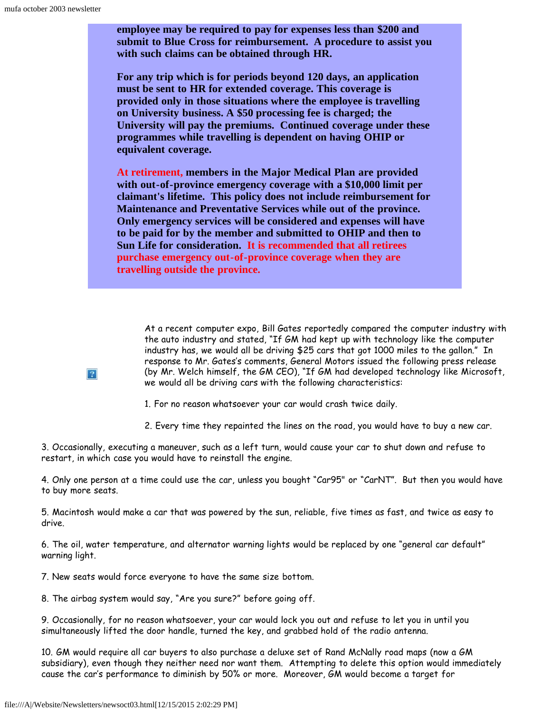**employee may be required to pay for expenses less than \$200 and submit to Blue Cross for reimbursement. A procedure to assist you with such claims can be obtained through HR.**

**For any trip which is for periods beyond 120 days, an application must be sent to HR for extended coverage. This coverage is provided only in those situations where the employee is travelling on University business. A \$50 processing fee is charged; the University will pay the premiums. Continued coverage under these programmes while travelling is dependent on having OHIP or equivalent coverage.**

**At retirement, members in the Major Medical Plan are provided with out-of-province emergency coverage with a \$10,000 limit per claimant's lifetime. This policy does not include reimbursement for Maintenance and Preventative Services while out of the province. Only emergency services will be considered and expenses will have to be paid for by the member and submitted to OHIP and then to Sun Life for consideration. It is recommended that all retirees purchase emergency out-of-province coverage when they are travelling outside the province.**

At a recent computer expo, Bill Gates reportedly compared the computer industry with the auto industry and stated, "If GM had kept up with technology like the computer industry has, we would all be driving \$25 cars that got 1000 miles to the gallon." In response to Mr. Gates's comments, General Motors issued the following press release (by Mr. Welch himself, the GM CEO), "If GM had developed technology like Microsoft, we would all be driving cars with the following characteristics:

1. For no reason whatsoever your car would crash twice daily.

2. Every time they repainted the lines on the road, you would have to buy a new car.

3. Occasionally, executing a maneuver, such as a left turn, would cause your car to shut down and refuse to restart, in which case you would have to reinstall the engine.

4. Only one person at a time could use the car, unless you bought "Car95" or "CarNT". But then you would have to buy more seats.

5. Macintosh would make a car that was powered by the sun, reliable, five times as fast, and twice as easy to drive.

6. The oil, water temperature, and alternator warning lights would be replaced by one "general car default" warning light.

7. New seats would force everyone to have the same size bottom.

8. The airbag system would say, "Are you sure?" before going off.

9. Occasionally, for no reason whatsoever, your car would lock you out and refuse to let you in until you simultaneously lifted the door handle, turned the key, and grabbed hold of the radio antenna.

10. GM would require all car buyers to also purchase a deluxe set of Rand McNally road maps (now a GM subsidiary), even though they neither need nor want them. Attempting to delete this option would immediately cause the car's performance to diminish by 50% or more. Moreover, GM would become a target for

<span id="page-8-0"></span> $|2|$